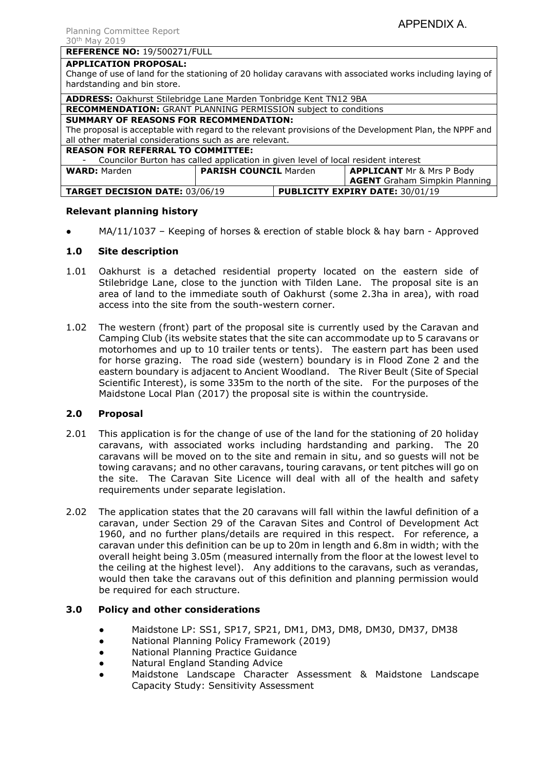### **REFERENCE NO:** 19/500271/FULL

#### **APPLICATION PROPOSAL:**

Change of use of land for the stationing of 20 holiday caravans with associated works including laying of hardstanding and bin store.

| <b>ADDRESS:</b> Oakhurst Stilebridge Lane Marden Tonbridge Kent TN12 9BA                                |                              |                                        |                                      |
|---------------------------------------------------------------------------------------------------------|------------------------------|----------------------------------------|--------------------------------------|
| RECOMMENDATION: GRANT PLANNING PERMISSION subject to conditions                                         |                              |                                        |                                      |
| <b>SUMMARY OF REASONS FOR RECOMMENDATION:</b>                                                           |                              |                                        |                                      |
| The proposal is acceptable with regard to the relevant provisions of the Development Plan, the NPPF and |                              |                                        |                                      |
| all other material considerations such as are relevant.                                                 |                              |                                        |                                      |
| <b>REASON FOR REFERRAL TO COMMITTEE:</b>                                                                |                              |                                        |                                      |
| Councilor Burton has called application in given level of local resident interest<br>$-$                |                              |                                        |                                      |
| <b>WARD: Marden</b>                                                                                     | <b>PARISH COUNCIL Marden</b> |                                        | <b>APPLICANT Mr &amp; Mrs P Body</b> |
|                                                                                                         |                              |                                        | <b>AGENT</b> Graham Simpkin Planning |
| <b>TARGET DECISION DATE: 03/06/19</b>                                                                   |                              | <b>PUBLICITY EXPIRY DATE: 30/01/19</b> |                                      |

## **Relevant planning history**

 $MA/11/1037$  – Keeping of horses & erection of stable block & hay barn - Approved

## **1.0 Site description**

- 1.01 Oakhurst is a detached residential property located on the eastern side of Stilebridge Lane, close to the junction with Tilden Lane. The proposal site is an area of land to the immediate south of Oakhurst (some 2.3ha in area), with road access into the site from the south-western corner.
- 1.02 The western (front) part of the proposal site is currently used by the Caravan and Camping Club (its website states that the site can accommodate up to 5 caravans or motorhomes and up to 10 trailer tents or tents). The eastern part has been used for horse grazing. The road side (western) boundary is in Flood Zone 2 and the eastern boundary is adjacent to Ancient Woodland. The River Beult (Site of Special Scientific Interest), is some 335m to the north of the site. For the purposes of the Maidstone Local Plan (2017) the proposal site is within the countryside.

## **2.0 Proposal**

- 2.01 This application is for the change of use of the land for the stationing of 20 holiday caravans, with associated works including hardstanding and parking. The 20 caravans will be moved on to the site and remain in situ, and so guests will not be towing caravans; and no other caravans, touring caravans, or tent pitches will go on the site. The Caravan Site Licence will deal with all of the health and safety requirements under separate legislation.
- 2.02 The application states that the 20 caravans will fall within the lawful definition of a caravan, under Section 29 of the Caravan Sites and Control of Development Act 1960, and no further plans/details are required in this respect. For reference, a caravan under this definition can be up to 20m in length and 6.8m in width; with the overall height being 3.05m (measured internally from the floor at the lowest level to the ceiling at the highest level). Any additions to the caravans, such as verandas, would then take the caravans out of this definition and planning permission would be required for each structure.

### **3.0 Policy and other considerations**

- Maidstone LP: SS1, SP17, SP21, DM1, DM3, DM8, DM30, DM37, DM38
- National Planning Policy Framework (2019)
- **National Planning Practice Guidance**
- **Natural England Standing Advice**
- Maidstone Landscape Character Assessment & Maidstone Landscape Capacity Study: Sensitivity Assessment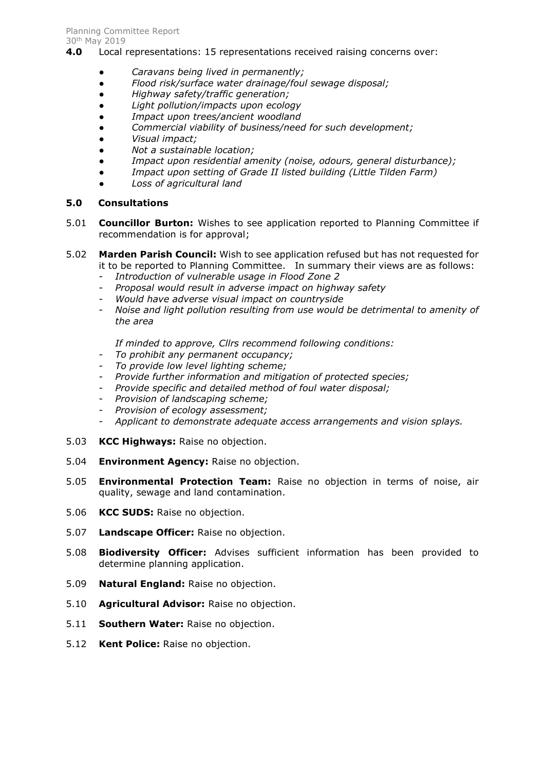- **4.0** Local representations: 15 representations received raising concerns over:
	- *Caravans being lived in permanently;*
	- *Flood risk/surface water drainage/foul sewage disposal;*
	- *Highway safety/traffic generation;*
	- *Light pollution/impacts upon ecology*
	- *Impact upon trees/ancient woodland*
	- *Commercial viability of business/need for such development;*
	- *Visual impact;*
	- *Not a sustainable location;*
	- *Impact upon residential amenity (noise, odours, general disturbance);*
	- *Impact upon setting of Grade II listed building (Little Tilden Farm)*
	- *Loss of agricultural land*

## **5.0 Consultations**

- 5.01 **Councillor Burton:** Wishes to see application reported to Planning Committee if recommendation is for approval;
- 5.02 **Marden Parish Council:** Wish to see application refused but has not requested for it to be reported to Planning Committee. In summary their views are as follows:
	- *Introduction of vulnerable usage in Flood Zone 2*
	- *Proposal would result in adverse impact on highway safety*
	- *Would have adverse visual impact on countryside*
	- *Noise and light pollution resulting from use would be detrimental to amenity of the area*

*If minded to approve, Cllrs recommend following conditions:*

- *To prohibit any permanent occupancy;*
- *To provide low level lighting scheme;*
- *Provide further information and mitigation of protected species;*
- *Provide specific and detailed method of foul water disposal;*
- *Provision of landscaping scheme;*
- *Provision of ecology assessment;*
- *Applicant to demonstrate adequate access arrangements and vision splays.*
- 5.03 **KCC Highways:** Raise no objection.
- 5.04 **Environment Agency:** Raise no objection.
- 5.05 **Environmental Protection Team:** Raise no objection in terms of noise, air quality, sewage and land contamination.
- 5.06 **KCC SUDS:** Raise no objection.
- 5.07 **Landscape Officer:** Raise no objection.
- 5.08 **Biodiversity Officer:** Advises sufficient information has been provided to determine planning application.
- 5.09 **Natural England:** Raise no objection.
- 5.10 **Agricultural Advisor:** Raise no objection.
- 5.11 **Southern Water:** Raise no objection.
- 5.12 **Kent Police:** Raise no objection.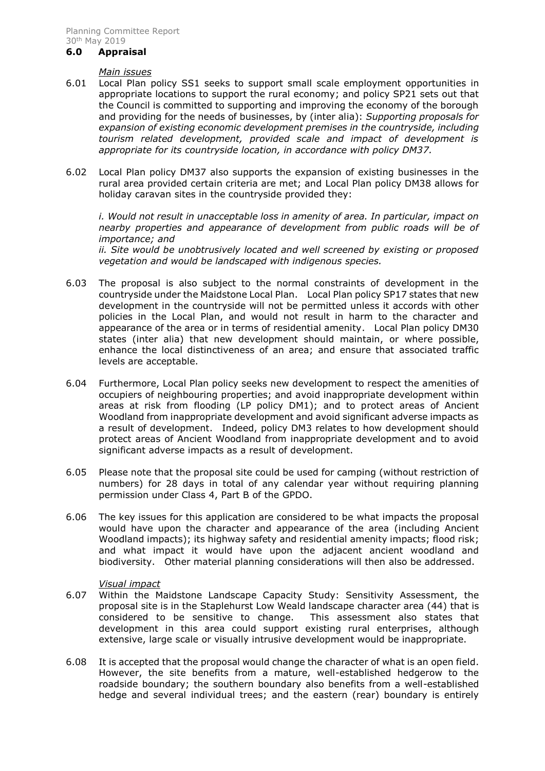#### **6.0 Appraisal**

#### *Main issues*

- 6.01 Local Plan policy SS1 seeks to support small scale employment opportunities in appropriate locations to support the rural economy; and policy SP21 sets out that the Council is committed to supporting and improving the economy of the borough and providing for the needs of businesses, by (inter alia): *Supporting proposals for expansion of existing economic development premises in the countryside, including tourism related development, provided scale and impact of development is appropriate for its countryside location, in accordance with policy DM37.*
- 6.02 Local Plan policy DM37 also supports the expansion of existing businesses in the rural area provided certain criteria are met; and Local Plan policy DM38 allows for holiday caravan sites in the countryside provided they:

*i. Would not result in unacceptable loss in amenity of area. In particular, impact on nearby properties and appearance of development from public roads will be of importance; and*

*ii. Site would be unobtrusively located and well screened by existing or proposed vegetation and would be landscaped with indigenous species.*

- 6.03 The proposal is also subject to the normal constraints of development in the countryside under the Maidstone Local Plan. Local Plan policy SP17 states that new development in the countryside will not be permitted unless it accords with other policies in the Local Plan, and would not result in harm to the character and appearance of the area or in terms of residential amenity. Local Plan policy DM30 states (inter alia) that new development should maintain, or where possible, enhance the local distinctiveness of an area; and ensure that associated traffic levels are acceptable.
- 6.04 Furthermore, Local Plan policy seeks new development to respect the amenities of occupiers of neighbouring properties; and avoid inappropriate development within areas at risk from flooding (LP policy DM1); and to protect areas of Ancient Woodland from inappropriate development and avoid significant adverse impacts as a result of development. Indeed, policy DM3 relates to how development should protect areas of Ancient Woodland from inappropriate development and to avoid significant adverse impacts as a result of development.
- 6.05 Please note that the proposal site could be used for camping (without restriction of numbers) for 28 days in total of any calendar year without requiring planning permission under Class 4, Part B of the GPDO.
- 6.06 The key issues for this application are considered to be what impacts the proposal would have upon the character and appearance of the area (including Ancient Woodland impacts); its highway safety and residential amenity impacts; flood risk; and what impact it would have upon the adjacent ancient woodland and biodiversity. Other material planning considerations will then also be addressed.

### *Visual impact*

- 6.07 Within the Maidstone Landscape Capacity Study: Sensitivity Assessment, the proposal site is in the Staplehurst Low Weald landscape character area (44) that is considered to be sensitive to change. This assessment also states that development in this area could support existing rural enterprises, although extensive, large scale or visually intrusive development would be inappropriate.
- 6.08 It is accepted that the proposal would change the character of what is an open field. However, the site benefits from a mature, well-established hedgerow to the roadside boundary; the southern boundary also benefits from a well-established hedge and several individual trees; and the eastern (rear) boundary is entirely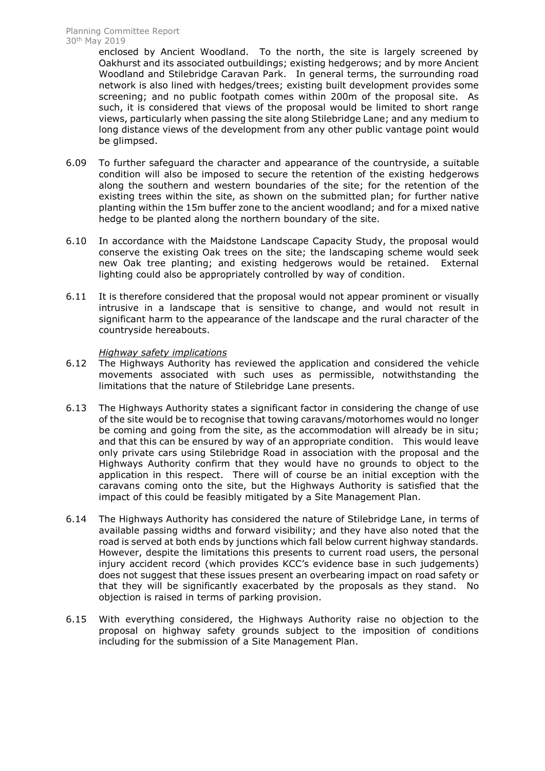enclosed by Ancient Woodland. To the north, the site is largely screened by Oakhurst and its associated outbuildings; existing hedgerows; and by more Ancient Woodland and Stilebridge Caravan Park. In general terms, the surrounding road network is also lined with hedges/trees; existing built development provides some screening; and no public footpath comes within 200m of the proposal site. As such, it is considered that views of the proposal would be limited to short range views, particularly when passing the site along Stilebridge Lane; and any medium to long distance views of the development from any other public vantage point would be glimpsed.

- 6.09 To further safeguard the character and appearance of the countryside, a suitable condition will also be imposed to secure the retention of the existing hedgerows along the southern and western boundaries of the site; for the retention of the existing trees within the site, as shown on the submitted plan; for further native planting within the 15m buffer zone to the ancient woodland; and for a mixed native hedge to be planted along the northern boundary of the site.
- 6.10 In accordance with the Maidstone Landscape Capacity Study, the proposal would conserve the existing Oak trees on the site; the landscaping scheme would seek new Oak tree planting; and existing hedgerows would be retained. External lighting could also be appropriately controlled by way of condition.
- 6.11 It is therefore considered that the proposal would not appear prominent or visually intrusive in a landscape that is sensitive to change, and would not result in significant harm to the appearance of the landscape and the rural character of the countryside hereabouts.

### *Highway safety implications*

- 6.12 The Highways Authority has reviewed the application and considered the vehicle movements associated with such uses as permissible, notwithstanding the limitations that the nature of Stilebridge Lane presents.
- 6.13 The Highways Authority states a significant factor in considering the change of use of the site would be to recognise that towing caravans/motorhomes would no longer be coming and going from the site, as the accommodation will already be in situ; and that this can be ensured by way of an appropriate condition. This would leave only private cars using Stilebridge Road in association with the proposal and the Highways Authority confirm that they would have no grounds to object to the application in this respect. There will of course be an initial exception with the caravans coming onto the site, but the Highways Authority is satisfied that the impact of this could be feasibly mitigated by a Site Management Plan.
- 6.14 The Highways Authority has considered the nature of Stilebridge Lane, in terms of available passing widths and forward visibility; and they have also noted that the road is served at both ends by junctions which fall below current highway standards. However, despite the limitations this presents to current road users, the personal injury accident record (which provides KCC's evidence base in such judgements) does not suggest that these issues present an overbearing impact on road safety or that they will be significantly exacerbated by the proposals as they stand. No objection is raised in terms of parking provision.
- 6.15 With everything considered, the Highways Authority raise no objection to the proposal on highway safety grounds subject to the imposition of conditions including for the submission of a Site Management Plan.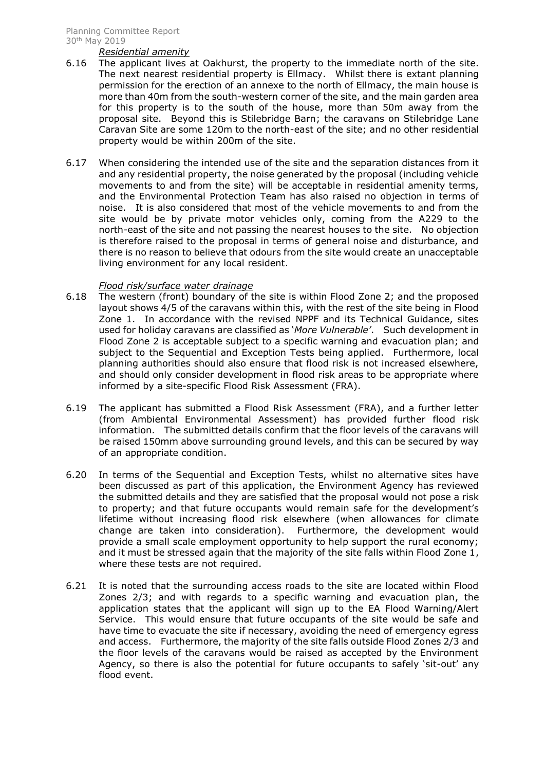#### *Residential amenity*

- 6.16 The applicant lives at Oakhurst, the property to the immediate north of the site. The next nearest residential property is Ellmacy. Whilst there is extant planning permission for the erection of an annexe to the north of Ellmacy, the main house is more than 40m from the south-western corner of the site, and the main garden area for this property is to the south of the house, more than 50m away from the proposal site. Beyond this is Stilebridge Barn; the caravans on Stilebridge Lane Caravan Site are some 120m to the north-east of the site; and no other residential property would be within 200m of the site.
- 6.17 When considering the intended use of the site and the separation distances from it and any residential property, the noise generated by the proposal (including vehicle movements to and from the site) will be acceptable in residential amenity terms, and the Environmental Protection Team has also raised no objection in terms of noise. It is also considered that most of the vehicle movements to and from the site would be by private motor vehicles only, coming from the A229 to the north-east of the site and not passing the nearest houses to the site. No objection is therefore raised to the proposal in terms of general noise and disturbance, and there is no reason to believe that odours from the site would create an unacceptable living environment for any local resident.

### *Flood risk/surface water drainage*

- 6.18 The western (front) boundary of the site is within Flood Zone 2; and the proposed layout shows 4/5 of the caravans within this, with the rest of the site being in Flood Zone 1. In accordance with the revised NPPF and its Technical Guidance, sites used for holiday caravans are classified as '*More Vulnerable'*. Such development in Flood Zone 2 is acceptable subject to a specific warning and evacuation plan; and subject to the Sequential and Exception Tests being applied. Furthermore, local planning authorities should also ensure that flood risk is not increased elsewhere, and should only consider development in flood risk areas to be appropriate where informed by a site-specific Flood Risk Assessment (FRA).
- 6.19 The applicant has submitted a Flood Risk Assessment (FRA), and a further letter (from Ambiental Environmental Assessment) has provided further flood risk information. The submitted details confirm that the floor levels of the caravans will be raised 150mm above surrounding ground levels, and this can be secured by way of an appropriate condition.
- 6.20 In terms of the Sequential and Exception Tests, whilst no alternative sites have been discussed as part of this application, the Environment Agency has reviewed the submitted details and they are satisfied that the proposal would not pose a risk to property; and that future occupants would remain safe for the development's lifetime without increasing flood risk elsewhere (when allowances for climate change are taken into consideration). Furthermore, the development would provide a small scale employment opportunity to help support the rural economy; and it must be stressed again that the majority of the site falls within Flood Zone 1, where these tests are not required.
- 6.21 It is noted that the surrounding access roads to the site are located within Flood Zones 2/3; and with regards to a specific warning and evacuation plan, the application states that the applicant will sign up to the EA Flood Warning/Alert Service. This would ensure that future occupants of the site would be safe and have time to evacuate the site if necessary, avoiding the need of emergency egress and access. Furthermore, the majority of the site falls outside Flood Zones 2/3 and the floor levels of the caravans would be raised as accepted by the Environment Agency, so there is also the potential for future occupants to safely 'sit-out' any flood event.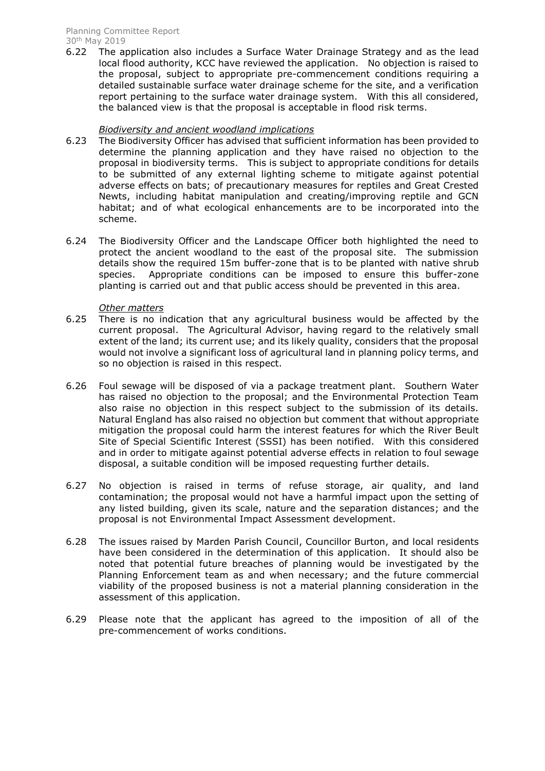6.22 The application also includes a Surface Water Drainage Strategy and as the lead local flood authority, KCC have reviewed the application. No objection is raised to the proposal, subject to appropriate pre-commencement conditions requiring a detailed sustainable surface water drainage scheme for the site, and a verification report pertaining to the surface water drainage system. With this all considered, the balanced view is that the proposal is acceptable in flood risk terms.

# *Biodiversity and ancient woodland implications*

- 6.23 The Biodiversity Officer has advised that sufficient information has been provided to determine the planning application and they have raised no objection to the proposal in biodiversity terms. This is subject to appropriate conditions for details to be submitted of any external lighting scheme to mitigate against potential adverse effects on bats; of precautionary measures for reptiles and Great Crested Newts, including habitat manipulation and creating/improving reptile and GCN habitat; and of what ecological enhancements are to be incorporated into the scheme.
- 6.24 The Biodiversity Officer and the Landscape Officer both highlighted the need to protect the ancient woodland to the east of the proposal site. The submission details show the required 15m buffer-zone that is to be planted with native shrub species. Appropriate conditions can be imposed to ensure this buffer-zone planting is carried out and that public access should be prevented in this area.

# *Other matters*

- 6.25 There is no indication that any agricultural business would be affected by the current proposal. The Agricultural Advisor, having regard to the relatively small extent of the land; its current use; and its likely quality, considers that the proposal would not involve a significant loss of agricultural land in planning policy terms, and so no objection is raised in this respect.
- 6.26 Foul sewage will be disposed of via a package treatment plant. Southern Water has raised no objection to the proposal; and the Environmental Protection Team also raise no objection in this respect subject to the submission of its details. Natural England has also raised no objection but comment that without appropriate mitigation the proposal could harm the interest features for which the River Beult Site of Special Scientific Interest (SSSI) has been notified. With this considered and in order to mitigate against potential adverse effects in relation to foul sewage disposal, a suitable condition will be imposed requesting further details.
- 6.27 No objection is raised in terms of refuse storage, air quality, and land contamination; the proposal would not have a harmful impact upon the setting of any listed building, given its scale, nature and the separation distances; and the proposal is not Environmental Impact Assessment development.
- 6.28 The issues raised by Marden Parish Council, Councillor Burton, and local residents have been considered in the determination of this application. It should also be noted that potential future breaches of planning would be investigated by the Planning Enforcement team as and when necessary; and the future commercial viability of the proposed business is not a material planning consideration in the assessment of this application.
- 6.29 Please note that the applicant has agreed to the imposition of all of the pre-commencement of works conditions.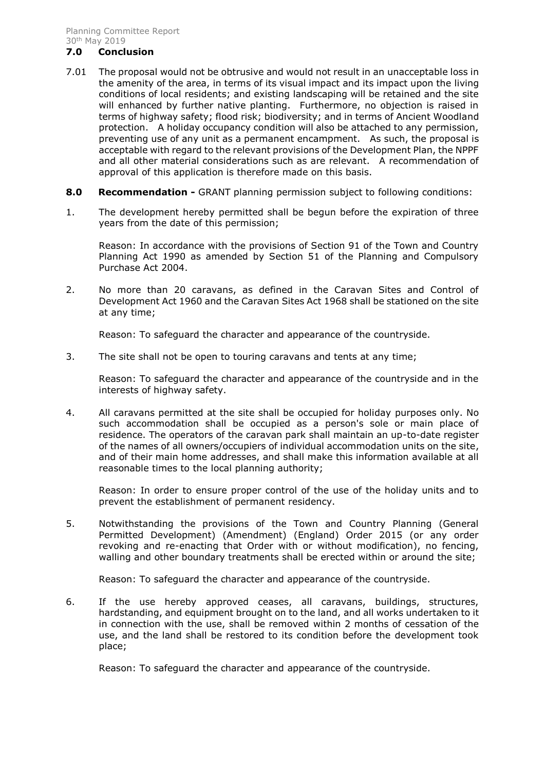#### **7.0 Conclusion**

- 7.01 The proposal would not be obtrusive and would not result in an unacceptable loss in the amenity of the area, in terms of its visual impact and its impact upon the living conditions of local residents; and existing landscaping will be retained and the site will enhanced by further native planting. Furthermore, no objection is raised in terms of highway safety; flood risk; biodiversity; and in terms of Ancient Woodland protection. A holiday occupancy condition will also be attached to any permission, preventing use of any unit as a permanent encampment. As such, the proposal is acceptable with regard to the relevant provisions of the Development Plan, the NPPF and all other material considerations such as are relevant. A recommendation of approval of this application is therefore made on this basis.
- **8.0 Recommendation -** GRANT planning permission subject to following conditions:
- 1. The development hereby permitted shall be begun before the expiration of three years from the date of this permission;

Reason: In accordance with the provisions of Section 91 of the Town and Country Planning Act 1990 as amended by Section 51 of the Planning and Compulsory Purchase Act 2004.

2. No more than 20 caravans, as defined in the Caravan Sites and Control of Development Act 1960 and the Caravan Sites Act 1968 shall be stationed on the site at any time;

Reason: To safeguard the character and appearance of the countryside.

3. The site shall not be open to touring caravans and tents at any time;

Reason: To safeguard the character and appearance of the countryside and in the interests of highway safety.

4. All caravans permitted at the site shall be occupied for holiday purposes only. No such accommodation shall be occupied as a person's sole or main place of residence. The operators of the caravan park shall maintain an up-to-date register of the names of all owners/occupiers of individual accommodation units on the site, and of their main home addresses, and shall make this information available at all reasonable times to the local planning authority;

Reason: In order to ensure proper control of the use of the holiday units and to prevent the establishment of permanent residency.

5. Notwithstanding the provisions of the Town and Country Planning (General Permitted Development) (Amendment) (England) Order 2015 (or any order revoking and re-enacting that Order with or without modification), no fencing, walling and other boundary treatments shall be erected within or around the site;

Reason: To safeguard the character and appearance of the countryside.

6. If the use hereby approved ceases, all caravans, buildings, structures, hardstanding, and equipment brought on to the land, and all works undertaken to it in connection with the use, shall be removed within 2 months of cessation of the use, and the land shall be restored to its condition before the development took place;

Reason: To safeguard the character and appearance of the countryside.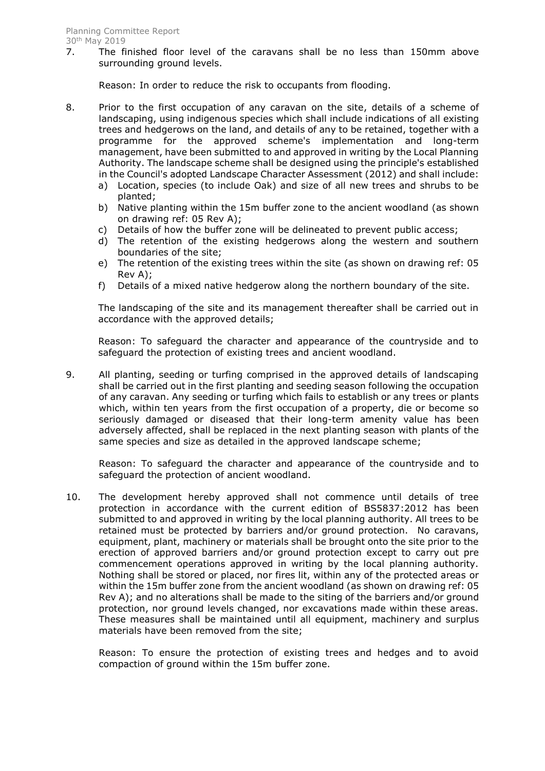7. The finished floor level of the caravans shall be no less than 150mm above surrounding ground levels.

Reason: In order to reduce the risk to occupants from flooding.

- 8. Prior to the first occupation of any caravan on the site, details of a scheme of landscaping, using indigenous species which shall include indications of all existing trees and hedgerows on the land, and details of any to be retained, together with a programme for the approved scheme's implementation and long-term management, have been submitted to and approved in writing by the Local Planning Authority. The landscape scheme shall be designed using the principle's established in the Council's adopted Landscape Character Assessment (2012) and shall include:
	- a) Location, species (to include Oak) and size of all new trees and shrubs to be planted;
	- b) Native planting within the 15m buffer zone to the ancient woodland (as shown on drawing ref: 05 Rev A);
	- c) Details of how the buffer zone will be delineated to prevent public access;
	- d) The retention of the existing hedgerows along the western and southern boundaries of the site;
	- e) The retention of the existing trees within the site (as shown on drawing ref: 05 Rev A);
	- f) Details of a mixed native hedgerow along the northern boundary of the site.

The landscaping of the site and its management thereafter shall be carried out in accordance with the approved details;

Reason: To safeguard the character and appearance of the countryside and to safeguard the protection of existing trees and ancient woodland.

9. All planting, seeding or turfing comprised in the approved details of landscaping shall be carried out in the first planting and seeding season following the occupation of any caravan. Any seeding or turfing which fails to establish or any trees or plants which, within ten years from the first occupation of a property, die or become so seriously damaged or diseased that their long-term amenity value has been adversely affected, shall be replaced in the next planting season with plants of the same species and size as detailed in the approved landscape scheme;

Reason: To safeguard the character and appearance of the countryside and to safeguard the protection of ancient woodland.

10. The development hereby approved shall not commence until details of tree protection in accordance with the current edition of BS5837:2012 has been submitted to and approved in writing by the local planning authority. All trees to be retained must be protected by barriers and/or ground protection. No caravans, equipment, plant, machinery or materials shall be brought onto the site prior to the erection of approved barriers and/or ground protection except to carry out pre commencement operations approved in writing by the local planning authority. Nothing shall be stored or placed, nor fires lit, within any of the protected areas or within the 15m buffer zone from the ancient woodland (as shown on drawing ref: 05 Rev A); and no alterations shall be made to the siting of the barriers and/or ground protection, nor ground levels changed, nor excavations made within these areas. These measures shall be maintained until all equipment, machinery and surplus materials have been removed from the site;

Reason: To ensure the protection of existing trees and hedges and to avoid compaction of ground within the 15m buffer zone.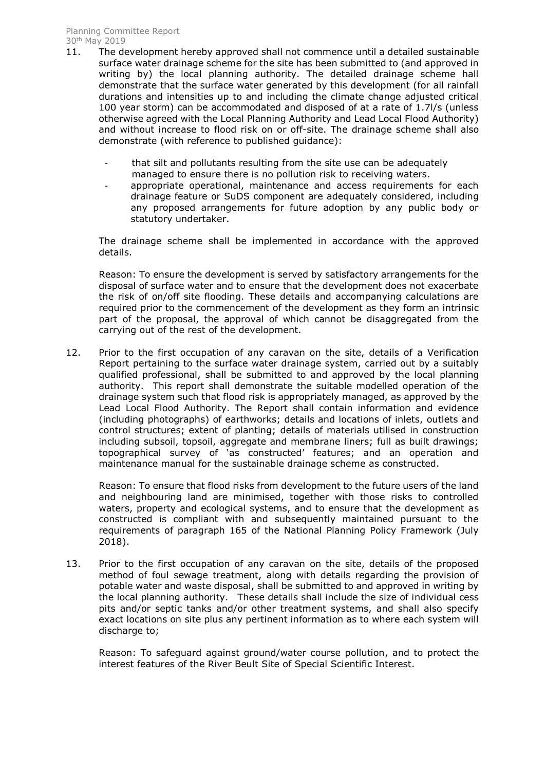- 11. The development hereby approved shall not commence until a detailed sustainable surface water drainage scheme for the site has been submitted to (and approved in writing by) the local planning authority. The detailed drainage scheme hall demonstrate that the surface water generated by this development (for all rainfall durations and intensities up to and including the climate change adjusted critical 100 year storm) can be accommodated and disposed of at a rate of 1.7l/s (unless otherwise agreed with the Local Planning Authority and Lead Local Flood Authority) and without increase to flood risk on or off-site. The drainage scheme shall also demonstrate (with reference to published guidance):
	- that silt and pollutants resulting from the site use can be adequately managed to ensure there is no pollution risk to receiving waters.
	- appropriate operational, maintenance and access requirements for each drainage feature or SuDS component are adequately considered, including any proposed arrangements for future adoption by any public body or statutory undertaker.

The drainage scheme shall be implemented in accordance with the approved details.

Reason: To ensure the development is served by satisfactory arrangements for the disposal of surface water and to ensure that the development does not exacerbate the risk of on/off site flooding. These details and accompanying calculations are required prior to the commencement of the development as they form an intrinsic part of the proposal, the approval of which cannot be disaggregated from the carrying out of the rest of the development.

12. Prior to the first occupation of any caravan on the site, details of a Verification Report pertaining to the surface water drainage system, carried out by a suitably qualified professional, shall be submitted to and approved by the local planning authority. This report shall demonstrate the suitable modelled operation of the drainage system such that flood risk is appropriately managed, as approved by the Lead Local Flood Authority. The Report shall contain information and evidence (including photographs) of earthworks; details and locations of inlets, outlets and control structures; extent of planting; details of materials utilised in construction including subsoil, topsoil, aggregate and membrane liners; full as built drawings; topographical survey of 'as constructed' features; and an operation and maintenance manual for the sustainable drainage scheme as constructed.

Reason: To ensure that flood risks from development to the future users of the land and neighbouring land are minimised, together with those risks to controlled waters, property and ecological systems, and to ensure that the development as constructed is compliant with and subsequently maintained pursuant to the requirements of paragraph 165 of the National Planning Policy Framework (July 2018).

13. Prior to the first occupation of any caravan on the site, details of the proposed method of foul sewage treatment, along with details regarding the provision of potable water and waste disposal, shall be submitted to and approved in writing by the local planning authority. These details shall include the size of individual cess pits and/or septic tanks and/or other treatment systems, and shall also specify exact locations on site plus any pertinent information as to where each system will discharge to;

Reason: To safeguard against ground/water course pollution, and to protect the interest features of the River Beult Site of Special Scientific Interest.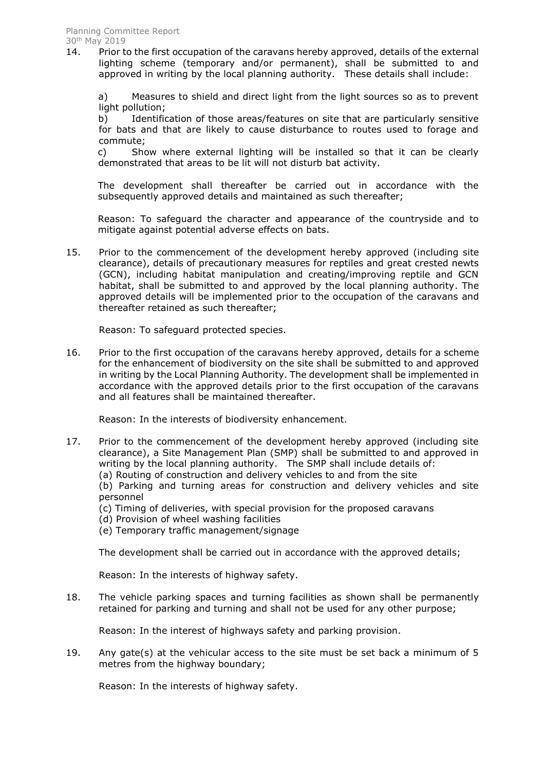14. Prior to the first occupation of the caravans hereby approved, details of the external lighting scheme (temporary and/or permanent), shall be submitted to and approved in writing by the local planning authority. These details shall include:

a) Measures to shield and direct light from the light sources so as to prevent light pollution;

b) Identification of those areas/features on site that are particularly sensitive for bats and that are likely to cause disturbance to routes used to forage and commute;

c) Show where external lighting will be installed so that it can be clearly demonstrated that areas to be lit will not disturb bat activity.

The development shall thereafter be carried out in accordance with the subsequently approved details and maintained as such thereafter;

Reason: To safeguard the character and appearance of the countryside and to mitigate against potential adverse effects on bats.

15. Prior to the commencement of the development hereby approved (including site clearance), details of precautionary measures for reptiles and great crested newts (GCN), including habitat manipulation and creating/improving reptile and GCN habitat, shall be submitted to and approved by the local planning authority. The approved details will be implemented prior to the occupation of the caravans and thereafter retained as such thereafter;

Reason: To safeguard protected species.

16. Prior to the first occupation of the caravans hereby approved, details for a scheme for the enhancement of biodiversity on the site shall be submitted to and approved in writing by the Local Planning Authority. The development shall be implemented in accordance with the approved details prior to the first occupation of the caravans and all features shall be maintained thereafter.

Reason: In the interests of biodiversity enhancement.

17. Prior to the commencement of the development hereby approved (including site clearance), a Site Management Plan (SMP) shall be submitted to and approved in writing by the local planning authority. The SMP shall include details of: (a) Routing of construction and delivery vehicles to and from the site

(b) Parking and turning areas for construction and delivery vehicles and site

personnel

(c) Timing of deliveries, with special provision for the proposed caravans

- (d) Provision of wheel washing facilities
- (e) Temporary traffic management/signage

The development shall be carried out in accordance with the approved details;

Reason: In the interests of highway safety.

18. The vehicle parking spaces and turning facilities as shown shall be permanently retained for parking and turning and shall not be used for any other purpose;

Reason: In the interest of highways safety and parking provision.

19. Any gate(s) at the vehicular access to the site must be set back a minimum of 5 metres from the highway boundary;

Reason: In the interests of highway safety.